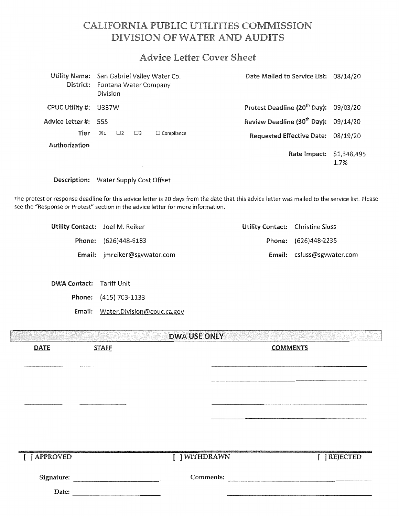# CALIFORNIA PUBLIC UTILITIES COMMISSION **DIVISION OF WATER AND AUDITS**

# **Advice Letter Cover Sheet**

| Utility Name: San Gabriel Valley Water Co.<br>District: | Division      |          |           | Fontana Water Company | Date Mailed to Service List: 08/14/20             |      |
|---------------------------------------------------------|---------------|----------|-----------|-----------------------|---------------------------------------------------|------|
| CPUC Utility #:                                         | U337W         |          |           |                       | Protest Deadline (20 <sup>th</sup> Day): 09/03/20 |      |
| Advice Letter #: 555                                    |               |          |           |                       | Review Deadline (30 <sup>th</sup> Day): 09/14/20  |      |
| Tier                                                    | $\boxtimes$ 1 | $\Box$ 2 | $\square$ | $\Box$ Compliance     | Requested Effective Date: 08/19/20                |      |
| Authorization                                           |               |          |           |                       | Rate Impact: \$1,348,495                          | 1.7% |

Description: Water Supply Cost Offset

The protest or response deadline for this advice letter is 20 days from the date that this advice letter was mailed to the service list. Please see the "Response or Protest" section in the advice letter for more information.

| Utility Contact: Joel M. Reiker |                                     | Utility Contact: Christine Sluss |                            |
|---------------------------------|-------------------------------------|----------------------------------|----------------------------|
|                                 | Phone: (626)448-6183                |                                  | Phone: (626)448-2235       |
|                                 | <b>Email:</b> jmreiker@sgywater.com |                                  | Email: csluss@sgvwater.com |

DWA Contact: Tariff Unit

Phone: (415) 703-1133

Email: Water.Division@cpuc.ca.gov

|                     |              | <b>DWA USE ONLY</b> |                 |  |
|---------------------|--------------|---------------------|-----------------|--|
| <b>DATE</b>         | <b>STAFF</b> |                     | <b>COMMENTS</b> |  |
|                     |              |                     |                 |  |
| [ ] APPROVED        |              | [ ] WITHDRAWN       | [ ] REJECTED    |  |
| Signature:<br>Date: |              |                     | Comments:       |  |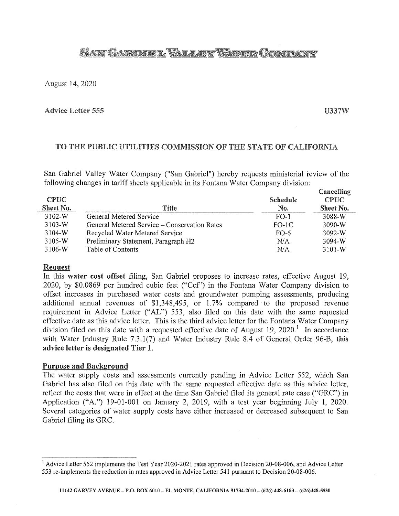# SANT GAERROEL VALLERY WATER COMPANY

August 14, 2020

### **Advice Letter 555**

U337W

# TO THE PUBLIC UTILITIES COMMISSION OF THE STATE OF CALIFORNIA

San Gabriel Valley Water Company ("San Gabriel") hereby requests ministerial review of the following changes in tariff sheets applicable in its Fontana Water Company division:

| <b>CPUC</b><br>Sheet No. | Title                                        | <b>Schedule</b><br>No. | Cancelling<br><b>CPUC</b><br>Sheet No. |
|--------------------------|----------------------------------------------|------------------------|----------------------------------------|
| $3102-W$                 | General Metered Service                      | $FO-1$                 | 3088-W                                 |
| $3103-W$                 | General Metered Service – Conservation Rates | $FO-1C$                | $3090-W$                               |
| 3104-W                   | Recycled Water Metered Service               | FO-6                   | 3092-W                                 |
| 3105-W                   | Preliminary Statement, Paragraph H2          | N/A                    | 3094-W                                 |
| 3106-W                   | Table of Contents                            | N/A                    | $3101-W$                               |

### Request

In this water cost offset filing, San Gabriel proposes to increase rates, effective August 19, 2020, by \$0.0869 per hundred cubic feet ("Ccf') in the Fontana Water Company division to offset increases in purchased water costs and groundwater pumping assessments, producing additional annual revenues of \$1,348,495, or 1.7% compared to the proposed revenue requirement in Advice Letter ("AL") 553, also filed on this date with the same requested effective date as this advice letter. This is the third advice letter for the Fontana Water Company division filed on this date with a requested effective date of August 19, 2020.<sup>1</sup> In accordance with Water Industry Rule 7.3.1(7) and Water Industry Rule 8.4 of General Order 96-B, this advice letter is designated Tier 1.

### Purpose and Background

The water supply costs and assessments currently pending in Advice Letter 552, which San Gabriel has also filed on this date with the same requested effective date as this advice letter, reflect the costs that were in effect at the time San Gabriel filed its general rate case ("GRC") in Application ("A.") 19-01-001 on January 2, 2019, with a test year beginning July 1, 2020. Several categories of water supply costs have either increased or decreased subsequent to San Gabriel filing its GRC.

<sup>&</sup>lt;sup>1</sup> Advice Letter 552 implements the Test Year 2020-2021 rates approved in Decision 20-08-006, and Advice Letter 553 re-implements the reduction in rates approved in Advice Letter 541 pursuant to Decision 20-08-006.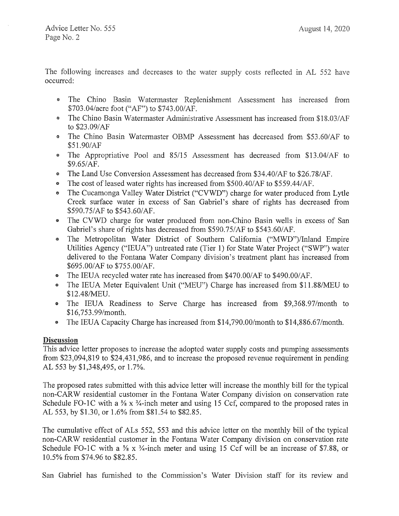The following increases and decreases to the water supply costs reflected in AL 552 have occurred:

- The Chino Basin Watermaster Replenishment Assessment has increased from \$703.04/acre foot ("AF") to \$743.00/AF.
- The Chino Basin Watermaster Administrative Assessment has increased from \$18.03/AF to \$23.09/AF
- The Chino Basin Watermaster OBMP Assessment has decreased from \$53.60/AF to \$51.90/AF
- The Appropriative Pool and 85/15 Assessment has decreased from \$13.04/AF to \$9.65/AF.
- The Land Use Conversion Assessment has decreased from \$34.40/AF to \$26.78/AF.
- The cost of leased water rights has increased from \$500.40/AF to \$559.44/AF.
- The Cucamonga Valley Water District ("CVWD") charge for water produced from Lytle Creek surface water in excess of San Gabriel's share of rights has decreased from \$590.75/AF to \$543.60/AF.
- The CVWD charge for water produced from non-Chino Basin wells in excess of San Gabriel's share of rights has decreased from \$590.75/AF to \$543.60/AF.
- The Metropolitan Water District of Southern California ("MWD")/Inland Empire Utilities Agency ("IEUA") untreated rate (Tier I) for State Water Project ("SWP") water delivered to the Fontana Water Company division's treatment plant has increased from \$695.00/AF to \$755.00/AF.
- The IEUA recycled water rate has increased from \$470.00/AF to \$490.00/AF.
- The IEUA Meter Equivalent Unit ("MEU") Charge has increased from \$11.88/MEU to \$12.48/MEU.
- The IEUA Readiness to Serve Charge has increased from \$9,368.97/month to \$16, 753.99/month.
- The IEUA Capacity Charge has increased from \$14,790.00/month to \$14,886.67/month.

# Discussion

This advice letter proposes to increase the adopted water supply costs and pumping assessments from \$23,094,819 to \$24,431,986, and to increase the proposed revenue requirement in pending AL 553 by \$1,348,495, or 1.7%.

The proposed rates submitted with this advice letter will increase the monthly bill for the typical non-CARW residential customer in the Fontana Water Company division on conservation rate Schedule FO-1C with a <sup>5</sup>/<sub>8</sub> x <sup>3</sup>/<sub>4</sub>-inch meter and using 15 Ccf, compared to the proposed rates in AL 553, by \$1.30, or 1.6% from \$81.54 to \$82.85.

The cumulative effect of ALs 552, 553 and this advice letter on the monthly bill of the typical non-CARW residential customer in the Fontana Water Company division on conservation rate Schedule FO-1C with a  $\frac{5}{8}$  x  $\frac{3}{4}$ -inch meter and using 15 Ccf will be an increase of \$7.88, or 10.5% from \$74.96 to \$82.85.

San Gabriel has furnished to the Commission's Water Division staff for its review and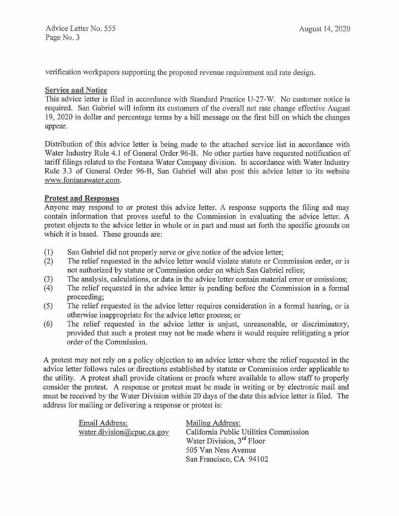Advice Letter No. 555 Page No. 3

verification workpapers supporting the proposed revenue requirement and rate design.

### **Service and Notice**

This advice letter is filed in accordance with Standard Practice U-27-W. No customer notice is required. San Gabriel will inform its customers of the overall net rate change effective August 19, 2020 in dollar and percentage terms by a bill message on the first bill on which the changes appear.

Distribution of this advice letter is being made to the attached service list in accordance with Water Industry Rule 4.1 of General Order 96-B. No other parties have requested notification of tariff filings related to the Fontana Water Company division. In accordance with Water Industry Rule 3.3 of General Order 96-B, San Gabriel will also post this advice letter to its website www.fontanawater.com.

## Protest and Responses

Anyone may respond to or protest this advice letter. A response supports the filing and may contain information that proves useful to the Commission in evaluating the advice letter. A protest objects to the advice letter in whole or in part and must set forth the specific grounds on which it is based. These grounds are:

- (1) San Gabriel did not properly serve or give notice of the advice letter;
- (2) The relief requested in the advice letter would violate statute or Commission order, or is not authorized by statute or Commission order on which San Gabriel relies;
- (3) The analysis, calculations, or data in the advice letter contain material error or omissions;
- ( 4) The relief requested in the advice letter is pending before the Commission in a formal proceeding;
- (5) The relief requested in the advice letter requires consideration in a formal hearing, or is otherwise inappropriate for the advice letter process; or
- (6) The relief requested in the advice letter is unjust, unreasonable, or discriminatory, provided that such a protest may not be made where it would require relitigating a prior order of the Commission.

A protest may not rely on a policy objection to an advice letter where the relief requested in the advice letter follows rules or directions established by statute or Commission order applicable to the utility. A protest shall provide citations or proofs where available to allow staff to properly consider the protest. A response or protest must be made in writing or by electronic mail and must be received by the Water Division within 20 days of the date this advice letter is filed. The address for mailing or delivering a response or protest is:

| Email Address:             | Mailing Address:                       |
|----------------------------|----------------------------------------|
| water.division@cpuc.ca.gov | California Public Utilities Commission |
|                            | Water Division, 3 <sup>rd</sup> Floor  |
|                            | 505 Van Ness Avenue                    |
|                            | San Francisco, CA 94102                |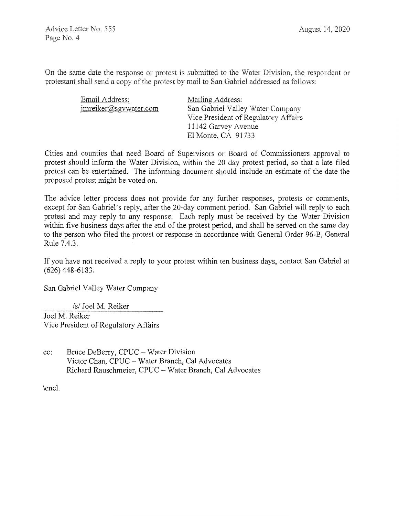On the same date the response or protest is submitted to the Water Division, the respondent or protestant shall send a copy of the protest by mail to San Gabriel addressed as follows:

| Email Address:        | Mailing Address:                     |
|-----------------------|--------------------------------------|
| imreiker@sgvwater.com | San Gabriel Valley Water Company     |
|                       | Vice President of Regulatory Affairs |
|                       | 11142 Garvey Avenue                  |
|                       | El Monte, CA 91733                   |

Cities and counties that need Board of Supervisors or Board of Commissioners approval to protest should inform the Water Division, within the 20 day protest period, so that a late filed protest can be entertained. The informing document should include an estimate of the date the proposed protest might be voted on.

The advice letter process does not provide for any further responses, protests or comments, except for San Gabriel's reply, after the 20-day comment period. San Gabriel will reply to each protest and may reply to any response. Each reply must be received by the Water Division within five business days after the end of the protest period, and shall be served on the same day to the person who filed the protest or response in accordance with General Order 96-B, General Rule 7.4.3.

If you have not received a reply to your protest within ten business days, contact San Gabriel at (626) 448-6183.

San Gabriel Valley Water Company

*Isl* Joel M. Reiker

Joel M. Reiker Vice President of Regulatory Affairs

cc: Bruce DeBerry, CPUC - Water Division Victor Chan, CPUC - Water Branch, Cal Advocates Richard Rauschmeier, CPUC - Water Branch, Cal Advocates

\encl.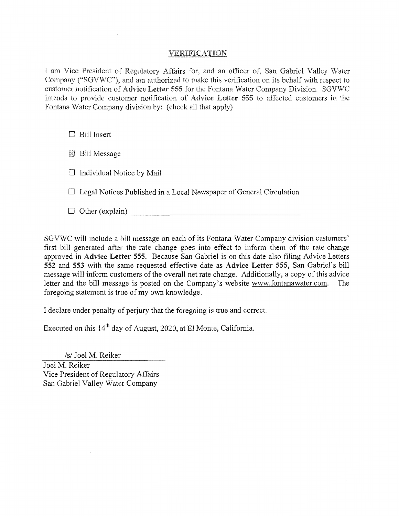### VERIFICATION

I am Vice President of Regulatory Affairs for, and an officer of, San Gabriel Valley Water Company ("SGVWC"), and am authorized to make this verification on its behalf with respect to customer notification of Advice Letter 555 for the Fontana Water Company Division. SGVWC intends to provide customer notification of Advice Letter 555 to affected customers in the Fontana Water Company division by: (check all that apply)

 $\Box$  Bill Insert

 $\boxtimes$  Bill Message

 $\Box$  Individual Notice by Mail

 $\Box$  Legal Notices Published in a Local Newspaper of General Circulation

 $\Box$  Other (explain)  $\Box$ 

SGVWC will include a bill message on each of its Fontana Water Company division customers' first bill generated after the rate change goes into effect to inform them of the rate change approved in Advice Letter 555. Because San Gabriel is on this date also filing Advice Letters 552 and 553 with the same requested effective date as Advice Letter 555, San Gabriel's bill message will inform customers of the overall net rate change. Additionally, a copy of this advice letter and the bill message is posted on the Company's website www.fontanawater.com. The foregoing statement is true of my own knowledge.

I declare under penalty of perjury that the foregoing is true and conect.

Executed on this  $14<sup>th</sup>$  day of August, 2020, at El Monte, California.

*Isl* Joel M. Reiker

Joel M. Reiker Vice President of Regulatory Affairs San Gabriel Valley Water Company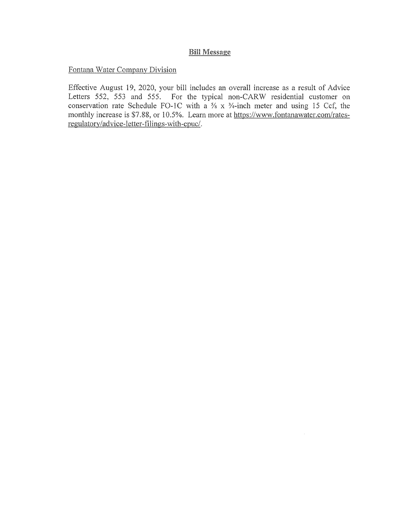# **Bill Message**

Fontana Water Company Division

Effective August 19, 2020, your bill includes an overall increase as a result of Advice Letters 552, 553 and 555. For the typical non-CARW residential customer on conservation rate Schedule FO-1C with a  $\frac{5}{8}$  x  $\frac{3}{4}$ -inch meter and using 15 Ccf, the monthly increase is \$7.88, or 10.5%. Learn more at https://www.fontanawater.com/ratesregulatory/advice-letter-filings-with-cpuc/.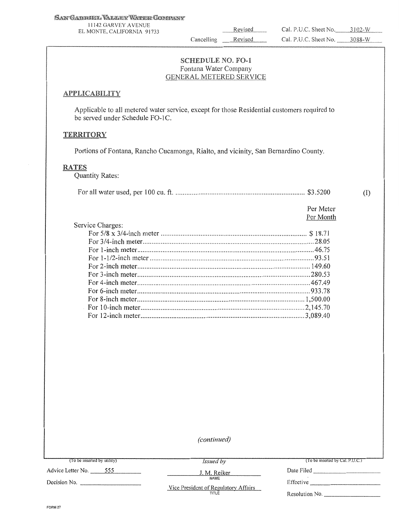1l142 GARVEY A VENUE

Cancelling  $\overline{\phantom{a}}$ 

# **SCHEDULE NO. FO-1** Fontana Water Company<br>GENERAL METERED SERVICE

### **APPLICABILITY**

Applicable to all metered water service, except for those Residential customers required to be served under Schedule FO-1C.

### **TERRITORY**

Portions of Fontana, Rancho Cucamonga, Rialto, and vicinity, San Bernardino County.

#### RATES

Quantity Rates:

Service Charges:

|--|--|--|

Per Meter Per Month (I)

| SUVICE CHAIGES. |  |
|-----------------|--|
|                 |  |
|                 |  |
|                 |  |
|                 |  |
|                 |  |
|                 |  |
|                 |  |
|                 |  |
|                 |  |
|                 |  |
|                 |  |
|                 |  |

*(continued)* 

*Issued by* 

NAME

(To be inserted by Cal. P.U.C.)

Advice Letter No. -~5~5~5 \_\_\_ \_ J.M. Reiker Date Filed---------

Decision No.

Vice President of Regulatory Affairs<br>TITLE

Effective \_\_\_\_\_\_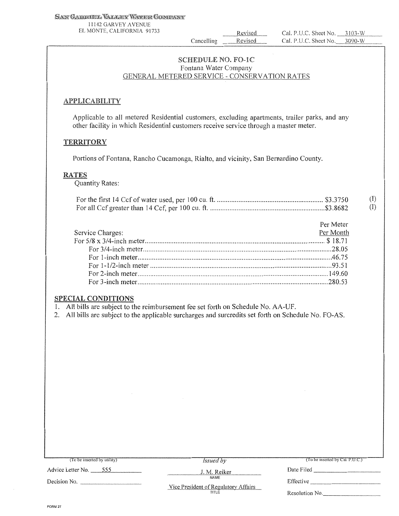### SAN GABRIEL VALLEY WATER GONDANY

l I 142 GARVEY AVENUE EL MONTE. CALIFORNIA 91733

Revised Cancelling Revised

Cal. P.U.C. Sheet No. 3103-W Cal. P.U.C. Sheet No. 3090-W

# **SCHEDULE NO. FO-1C** Fontana Water Company<br>GENERAL METERED SERVICE - CONSERVATION RATES

### **APPLICABILITY**

Applicable to all metered Residential customers, excluding apartments, trailer parks, and any other facility in which Residential customers receive service through a master meter.

### **TERRITORY**

Portions of Fontana, Rancho Cucamonga, Rialto, and vicinity, San Bernardino County.

### RATES

Quantity Rates:

|  | $\textcircled{1}$ |
|--|-------------------|
|  | (1)               |

|                  | Per Meter |
|------------------|-----------|
| Service Charges: | Per Month |
|                  |           |
|                  |           |
|                  |           |
|                  |           |
|                  |           |
|                  |           |
|                  |           |

# SPECIAL CONDITIONS

I. All bills are subject to the reimbursement fee set forth on Schedule No. AA-UF.

2. All bills are subject to the applicable surcharges and surcredits set forth on Schedule No. FO-AS.

| (To be inserted by utility) | <i>Issued</i> by                             | (To be inserted by Cal. P.U.C.) |
|-----------------------------|----------------------------------------------|---------------------------------|
| Advice Letter No. 555       | J. M. Reiker                                 | Date Filed                      |
| Decision No.                | NAME<br>Vice President of Regulatory Affairs | Effective                       |
|                             | TITLE                                        | Resolution No.                  |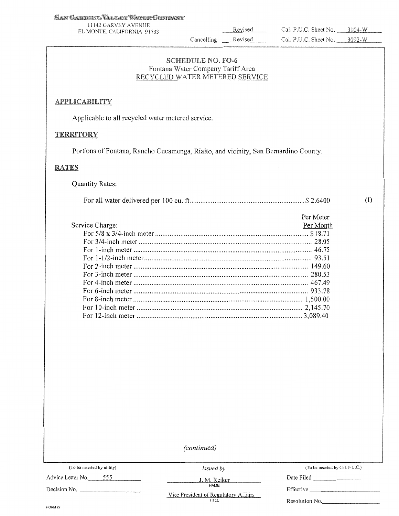l l !42 GARVEY AVENUE EL MONTE, CAUFORNJA 91733

Cancelling Revised

Revised

### **SCHEDULE NO. FO-6** Fontana Water Company Tariff Area RECYCLED WATER METERED SERVICE

### **APPLICABILITY**

Applicable to all recycled water metered service.

### **TERRITORY**

Portions of Fontana, Rancho Cucamonga, Rialto, and vicinity, San Bernardino County.

### RATES

| <b>Quantity Rates:</b> |  |
|------------------------|--|
|------------------------|--|

|                 |           | (1) |
|-----------------|-----------|-----|
|                 | Per Meter |     |
| Service Charge: | Per Month |     |
|                 |           |     |
|                 |           |     |
|                 |           |     |
|                 |           |     |
|                 |           |     |
|                 |           |     |
|                 |           |     |
|                 |           |     |
|                 |           |     |
|                 |           |     |
|                 |           |     |
|                 |           |     |

*(continued)* 

| (To be inserted by utility) |  |  |  |
|-----------------------------|--|--|--|
|-----------------------------|--|--|--|

Advice Letter No. 555

*Issued by* 

(To be inserted by Cal. P.U.C.)

NAME

J.M. Reiker Date Filed \_\_\_\_\_\_\_\_ \_

Decision No. \_

Vice President of Regulatory Affairs<br>TITLE

Effective \_\_\_\_\_\_\_\_ \_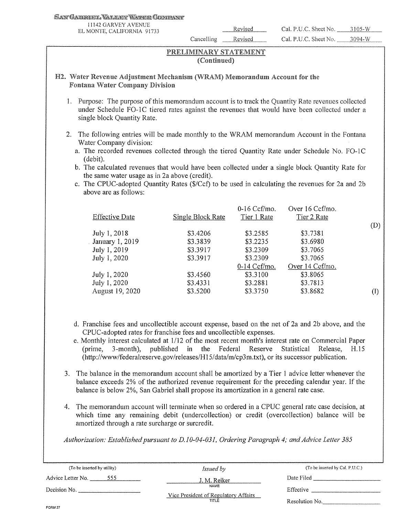#### San Gaernek, Valker Wærk Commany

11142 GARVEY AVENUE

Cancelling Revised

### PRELIMINARY STATEMENT (Continued)

## H2. Water Revenue Adjustment Mechanism (WRAM) Memorandum Account for the Fontana Water

- 1. Purpose: The purpose of this memorandum account is to track the Quantity Rate revenues collected under Schedule FO-1C tiered rates against the revenues that would have been collected under a single block Quantity Rate.
- 2. The following entries will be made monthly to the WRAM memorandum Account in the Fontana Water Company division:
	- a. The recorded revenues collected through the tiered Quantity Rate under Schedule No. FO-lC (debit).
	- b. The calculated revenues that would have been collected under a single block Quantity Rate for the same water usage as in 2a above (credit).
	- c. The CPUC-adopted Quantity Rates (\$/Ccf) to be used in calculating the revenues for 2a and 2b above are as follows:

| <b>Effective Date</b> | Single Block Rate | $0-16$ Ccf/mo.<br>Tier 1 Rate | Over 16 Ccf/mo.<br>Tier 2 Rate |     |
|-----------------------|-------------------|-------------------------------|--------------------------------|-----|
| July 1, 2018          | \$3.4206          | \$3.2585                      | \$3.7381                       | (D) |
| January 1, 2019       | \$3.3839          | \$3.2235                      | \$3.6980                       |     |
| July 1, 2019          | \$3.3917          | \$3.2309                      | \$3.7065                       |     |
| July 1, 2020          | \$3.3917          | \$3.2309                      | \$3,7065                       |     |
|                       |                   | $0-14$ Ccf/mo.                | Over 14 Cef/mo.                |     |
| July 1, 2020          | \$3.4560          | \$3.3100                      | \$3.8065                       |     |
| July 1, 2020          | \$3.4331          | \$3.2881                      | \$3,7813                       |     |
| August 19, 2020       | \$3.5200          | \$3.3750                      | \$3.8682                       | (1) |

- d. Franchise fees and uncollectible account expense, based on the net of 2a and 2b above, and the CPUC-adopted rates for franchise fees and uncollectible expenses.
- e. Monthly interest calculated at  $1/12$  of the most recent month's interest rate on Commercial Paper (prime, 3-month), published in the Federal Reserve Statistical Release, H.15 (http://www/federalreserve.gov/releases/Hl 5/data/m/cp3m.txt), or its successor publication.
- 3. The balance in the memorandum account shall be amortized by a Tier 1 advice letter whenever the balance exceeds 2% of the authorized revenue requirement for the preceding calendar year. If the balance is below 2%, San Gabriel shall propose its amortization in a general rate case.
- 4. The memorandum account will terminate when so ordered in a CPUC general rate case decision, at which time any remaining debit (undercollection) or credit (overcollection) balance will be amortized through a rate surcharge or surcredit.

*Authorization: Established pursuant to D.10-04-031, Ordering Paragraph 4; and Advice Letter 385* 

| (To be inserted by utility) | <i>Issued by</i>                              | (To be inserted by Cal. P.U.C.) |
|-----------------------------|-----------------------------------------------|---------------------------------|
| Advice Letter No.<br>555    | J. M. Reiker                                  | Date Filed                      |
| Decision No.                | <b>NAME</b>                                   | Effective                       |
|                             | Vice President of Regulatory Affairs<br>TITLE | Resolution No.                  |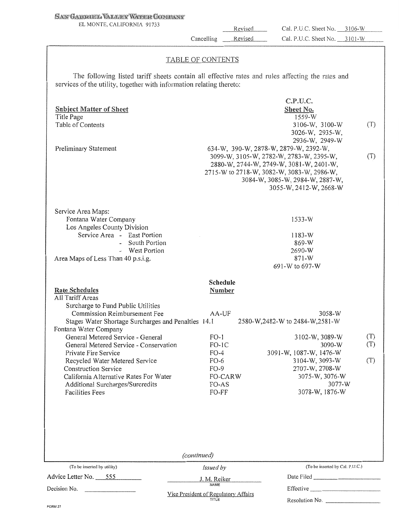### SAN GABRIEL VALLEY WATER COMPANY

EL MONTE, CALIFORNIA 91733

Revised Cancelling

Revised

Cal. P.U.C. Sheet No. 3106-W Cal. P.U.C. Sheet No. 3101-W

### **TABLE OF CONTENTS**

The following listed tariff sheets contain all effective rates and rules affecting the rates and services of the utility, together with information relating thereto:

| <b>Subject Matter of Sheet</b><br>Title Page<br>Table of Contents<br>Preliminary Statement                                                                                                                                                                                                                                                                                                                                                                                      |                                                                                                                    | C.P.U.C.<br>Sheet No.<br>1559-W<br>3106-W, 3100-W<br>3026-W, 2935-W,<br>2936-W, 2949-W<br>634-W, 390-W, 2878-W, 2879-W, 2392-W,<br>3099-W, 3105-W, 2782-W, 2783-W, 2395-W,<br>2880-W, 2744-W, 2749-W, 3081-W, 2401-W,<br>2715-W to 2718-W, 3082-W, 3083-W, 2986-W,<br>3084-W, 3085-W, 2984-W, 2887-W,<br>3055-W, 2412-W, 2668-W | (T)<br>(T)        |
|---------------------------------------------------------------------------------------------------------------------------------------------------------------------------------------------------------------------------------------------------------------------------------------------------------------------------------------------------------------------------------------------------------------------------------------------------------------------------------|--------------------------------------------------------------------------------------------------------------------|---------------------------------------------------------------------------------------------------------------------------------------------------------------------------------------------------------------------------------------------------------------------------------------------------------------------------------|-------------------|
| Service Area Maps:<br>Fontana Water Company<br>Los Angeles County Division<br>Service Area - East Portion<br>- South Portion<br>- West Portion<br>Area Maps of Less Than 40 p.s.i.g.                                                                                                                                                                                                                                                                                            |                                                                                                                    | $1533-W$<br>1183-W<br>869-W<br>2690-W<br>$871 - W$<br>691-W to 697-W                                                                                                                                                                                                                                                            |                   |
| <b>Rate Schedules</b><br>All Tariff Areas<br>Surcharge to Fund Public Utilities<br>Commission Reimbursement Fee<br>Stages Water Shortage Surcharges and Penalties 14.1<br>Fontana Water Company<br>General Metered Service - General<br>General Metered Service - Conservation<br>Private Fire Service<br>Recycled Water Metered Service<br><b>Construction Service</b><br>California Alternative Rates For Water<br>Additional Surcharges/Surcredits<br><b>Facilities Fees</b> | Schedule<br>Number<br>AA-UF<br>$FO-1$<br>$FO-IC$<br>$FO-4$<br>$FO-6$<br>$FO-9$<br><b>FO-CARW</b><br>FO-AS<br>FO-FF | 3058-W<br>2580-W,2482-W to 2484-W,2581-W<br>3102-W, 3089-W<br>3090-W<br>3091-W, 1087-W, 1476-W<br>3104-W, 3093-W<br>2707-W, 2708-W<br>3075-W, 3076-W<br>3077-W<br>3078-W, 1876-W                                                                                                                                                | (T)<br>(T)<br>(T) |
| (To be inserted by utility)<br>Advice Letter No. 555                                                                                                                                                                                                                                                                                                                                                                                                                            | (continued)<br>Issued by<br>J. M. Reiker                                                                           | (To be inserted by Cal. P.U.C.)                                                                                                                                                                                                                                                                                                 |                   |
| Decision No.                                                                                                                                                                                                                                                                                                                                                                                                                                                                    | Vice President of Regulatory Affairs<br>TITLE                                                                      | Resolution No.                                                                                                                                                                                                                                                                                                                  |                   |